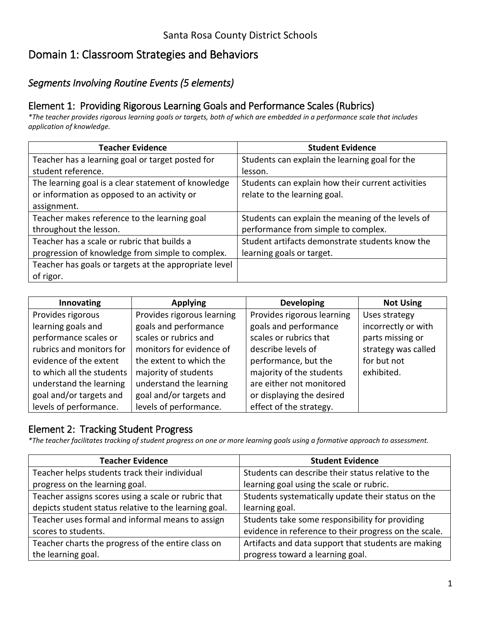# Domain 1: Classroom Strategies and Behaviors

## *Segments Involving Routine Events (5 elements)*

### Element 1: Providing Rigorous Learning Goals and Performance Scales (Rubrics)

*\*The teacher provides rigorous learning goals or targets, both of which are embedded in a performance scale that includes application of knowledge.* 

| <b>Teacher Evidence</b>                               | <b>Student Evidence</b>                           |
|-------------------------------------------------------|---------------------------------------------------|
| Teacher has a learning goal or target posted for      | Students can explain the learning goal for the    |
| student reference.                                    | lesson.                                           |
| The learning goal is a clear statement of knowledge   | Students can explain how their current activities |
| or information as opposed to an activity or           | relate to the learning goal.                      |
| assignment.                                           |                                                   |
| Teacher makes reference to the learning goal          | Students can explain the meaning of the levels of |
| throughout the lesson.                                | performance from simple to complex.               |
| Teacher has a scale or rubric that builds a           | Student artifacts demonstrate students know the   |
| progression of knowledge from simple to complex.      | learning goals or target.                         |
| Teacher has goals or targets at the appropriate level |                                                   |
| of rigor.                                             |                                                   |

| <b>Innovating</b>         | <b>Applying</b>            | <b>Developing</b>          | <b>Not Using</b>    |
|---------------------------|----------------------------|----------------------------|---------------------|
| Provides rigorous         | Provides rigorous learning | Provides rigorous learning | Uses strategy       |
| learning goals and        | goals and performance      | goals and performance      | incorrectly or with |
| performance scales or     | scales or rubrics and      | scales or rubrics that     | parts missing or    |
| rubrics and monitors for  | monitors for evidence of   | describe levels of         | strategy was called |
| evidence of the extent    | the extent to which the    | performance, but the       | for but not         |
| to which all the students | majority of students       | majority of the students   | exhibited.          |
| understand the learning   | understand the learning    | are either not monitored   |                     |
| goal and/or targets and   | goal and/or targets and    | or displaying the desired  |                     |
| levels of performance.    | levels of performance.     | effect of the strategy.    |                     |

### Element 2: Tracking Student Progress

*\*The teacher facilitates tracking of student progress on one or more learning goals using a formative approach to assessment.* 

| <b>Teacher Evidence</b>                               | <b>Student Evidence</b>                               |
|-------------------------------------------------------|-------------------------------------------------------|
| Teacher helps students track their individual         | Students can describe their status relative to the    |
| progress on the learning goal.                        | learning goal using the scale or rubric.              |
| Teacher assigns scores using a scale or rubric that   | Students systematically update their status on the    |
| depicts student status relative to the learning goal. | learning goal.                                        |
| Teacher uses formal and informal means to assign      | Students take some responsibility for providing       |
| scores to students.                                   | evidence in reference to their progress on the scale. |
| Teacher charts the progress of the entire class on    | Artifacts and data support that students are making   |
| the learning goal.                                    | progress toward a learning goal.                      |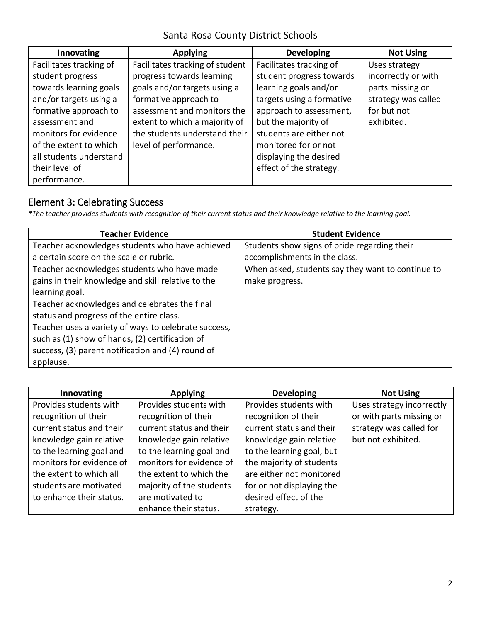| Innovating              | <b>Applying</b>                 | <b>Developing</b>         | <b>Not Using</b>    |
|-------------------------|---------------------------------|---------------------------|---------------------|
| Facilitates tracking of | Facilitates tracking of student | Facilitates tracking of   | Uses strategy       |
| student progress        | progress towards learning       | student progress towards  | incorrectly or with |
| towards learning goals  | goals and/or targets using a    | learning goals and/or     | parts missing or    |
| and/or targets using a  | formative approach to           | targets using a formative | strategy was called |
| formative approach to   | assessment and monitors the     | approach to assessment,   | for but not         |
| assessment and          | extent to which a majority of   | but the majority of       | exhibited.          |
| monitors for evidence   | the students understand their   | students are either not   |                     |
| of the extent to which  | level of performance.           | monitored for or not      |                     |
| all students understand |                                 | displaying the desired    |                     |
| their level of          |                                 | effect of the strategy.   |                     |
| performance.            |                                 |                           |                     |

### Element 3: Celebrating Success

*\*The teacher provides students with recognition of their current status and their knowledge relative to the learning goal.* 

| <b>Teacher Evidence</b>                              | <b>Student Evidence</b>                           |
|------------------------------------------------------|---------------------------------------------------|
| Teacher acknowledges students who have achieved      | Students show signs of pride regarding their      |
| a certain score on the scale or rubric.              | accomplishments in the class.                     |
| Teacher acknowledges students who have made          | When asked, students say they want to continue to |
| gains in their knowledge and skill relative to the   | make progress.                                    |
| learning goal.                                       |                                                   |
| Teacher acknowledges and celebrates the final        |                                                   |
| status and progress of the entire class.             |                                                   |
| Teacher uses a variety of ways to celebrate success, |                                                   |
| such as (1) show of hands, (2) certification of      |                                                   |
| success, (3) parent notification and (4) round of    |                                                   |
| applause.                                            |                                                   |

| Innovating               | <b>Applying</b>          | <b>Developing</b>         | <b>Not Using</b>          |
|--------------------------|--------------------------|---------------------------|---------------------------|
| Provides students with   | Provides students with   | Provides students with    | Uses strategy incorrectly |
| recognition of their     | recognition of their     | recognition of their      | or with parts missing or  |
| current status and their | current status and their | current status and their  | strategy was called for   |
| knowledge gain relative  | knowledge gain relative  | knowledge gain relative   | but not exhibited.        |
| to the learning goal and | to the learning goal and | to the learning goal, but |                           |
| monitors for evidence of | monitors for evidence of | the majority of students  |                           |
| the extent to which all  | the extent to which the  | are either not monitored  |                           |
| students are motivated   | majority of the students | for or not displaying the |                           |
| to enhance their status. | are motivated to         | desired effect of the     |                           |
|                          | enhance their status.    | strategy.                 |                           |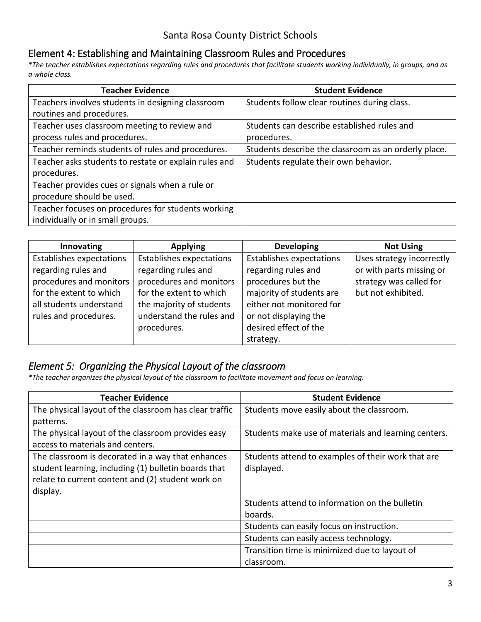#### Element 4: Establishing and Maintaining Classroom Rules and Procedures

*\*The teacher establishes expectations regarding rules and procedures that facilitate students working individually, in groups, and as a whole class.* 

| <b>Teacher Evidence</b>                               | <b>Student Evidence</b>                              |
|-------------------------------------------------------|------------------------------------------------------|
| Teachers involves students in designing classroom     | Students follow clear routines during class.         |
| routines and procedures.                              |                                                      |
| Teacher uses classroom meeting to review and          | Students can describe established rules and          |
| process rules and procedures.                         | procedures.                                          |
| Teacher reminds students of rules and procedures.     | Students describe the classroom as an orderly place. |
| Teacher asks students to restate or explain rules and | Students regulate their own behavior.                |
| procedures.                                           |                                                      |
| Teacher provides cues or signals when a rule or       |                                                      |
| procedure should be used.                             |                                                      |
| Teacher focuses on procedures for students working    |                                                      |
| individually or in small groups.                      |                                                      |

| Innovating                      | <b>Applying</b>                 | <b>Developing</b>               | <b>Not Using</b>          |
|---------------------------------|---------------------------------|---------------------------------|---------------------------|
| <b>Establishes expectations</b> | <b>Establishes expectations</b> | <b>Establishes expectations</b> | Uses strategy incorrectly |
| regarding rules and             | regarding rules and             | regarding rules and             | or with parts missing or  |
| procedures and monitors         | procedures and monitors         | procedures but the              | strategy was called for   |
| for the extent to which         | for the extent to which         | majority of students are        | but not exhibited.        |
| all students understand         | the majority of students        | either not monitored for        |                           |
| rules and procedures.           | understand the rules and        | or not displaying the           |                           |
|                                 | procedures.                     | desired effect of the           |                           |
|                                 |                                 | strategy.                       |                           |

#### *Element 5: Organizing the Physical Layout of the classroom*

*\*The teacher organizes the physical layout of the classroom to facilitate movement and focus on learning.* 

| <b>Teacher Evidence</b>                                | <b>Student Evidence</b>                              |
|--------------------------------------------------------|------------------------------------------------------|
| The physical layout of the classroom has clear traffic | Students move easily about the classroom.            |
| patterns.                                              |                                                      |
| The physical layout of the classroom provides easy     | Students make use of materials and learning centers. |
| access to materials and centers.                       |                                                      |
| The classroom is decorated in a way that enhances      | Students attend to examples of their work that are   |
| student learning, including (1) bulletin boards that   | displayed.                                           |
| relate to current content and (2) student work on      |                                                      |
| display.                                               |                                                      |
|                                                        | Students attend to information on the bulletin       |
|                                                        | boards.                                              |
|                                                        | Students can easily focus on instruction.            |
|                                                        | Students can easily access technology.               |
|                                                        | Transition time is minimized due to layout of        |
|                                                        | classroom.                                           |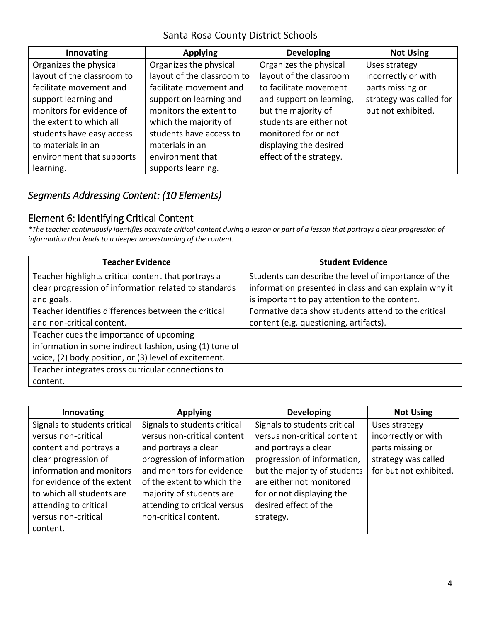| Innovating                 | <b>Applying</b>            | <b>Developing</b>        | <b>Not Using</b>        |
|----------------------------|----------------------------|--------------------------|-------------------------|
| Organizes the physical     | Organizes the physical     | Organizes the physical   | Uses strategy           |
| layout of the classroom to | layout of the classroom to | layout of the classroom  | incorrectly or with     |
| facilitate movement and    | facilitate movement and    | to facilitate movement   | parts missing or        |
| support learning and       | support on learning and    | and support on learning, | strategy was called for |
| monitors for evidence of   | monitors the extent to     | but the majority of      | but not exhibited.      |
| the extent to which all    | which the majority of      | students are either not  |                         |
| students have easy access  | students have access to    | monitored for or not     |                         |
| to materials in an         | materials in an            | displaying the desired   |                         |
| environment that supports  | environment that           | effect of the strategy.  |                         |
| learning.                  | supports learning.         |                          |                         |

## *Segments Addressing Content: (10 Elements)*

### Element 6: Identifying Critical Content

 *information that leads to a deeper understanding of the content. \*The teacher continuously identifies accurate critical content during a lesson or part of a lesson that portrays a clear progression of* 

| <b>Teacher Evidence</b>                                 | <b>Student Evidence</b>                               |
|---------------------------------------------------------|-------------------------------------------------------|
| Teacher highlights critical content that portrays a     | Students can describe the level of importance of the  |
| clear progression of information related to standards   | information presented in class and can explain why it |
| and goals.                                              | is important to pay attention to the content.         |
| Teacher identifies differences between the critical     | Formative data show students attend to the critical   |
| and non-critical content.                               | content (e.g. questioning, artifacts).                |
| Teacher cues the importance of upcoming                 |                                                       |
| information in some indirect fashion, using (1) tone of |                                                       |
| voice, (2) body position, or (3) level of excitement.   |                                                       |
| Teacher integrates cross curricular connections to      |                                                       |
| content.                                                |                                                       |

| Innovating                   | <b>Applying</b>              | <b>Developing</b>            | <b>Not Using</b>       |
|------------------------------|------------------------------|------------------------------|------------------------|
| Signals to students critical | Signals to students critical | Signals to students critical | Uses strategy          |
| versus non-critical          | versus non-critical content  | versus non-critical content  | incorrectly or with    |
| content and portrays a       | and portrays a clear         | and portrays a clear         | parts missing or       |
| clear progression of         | progression of information   | progression of information,  | strategy was called    |
| information and monitors     | and monitors for evidence    | but the majority of students | for but not exhibited. |
| for evidence of the extent   | of the extent to which the   | are either not monitored     |                        |
| to which all students are    | majority of students are     | for or not displaying the    |                        |
| attending to critical        | attending to critical versus | desired effect of the        |                        |
| versus non-critical          | non-critical content.        | strategy.                    |                        |
| content.                     |                              |                              |                        |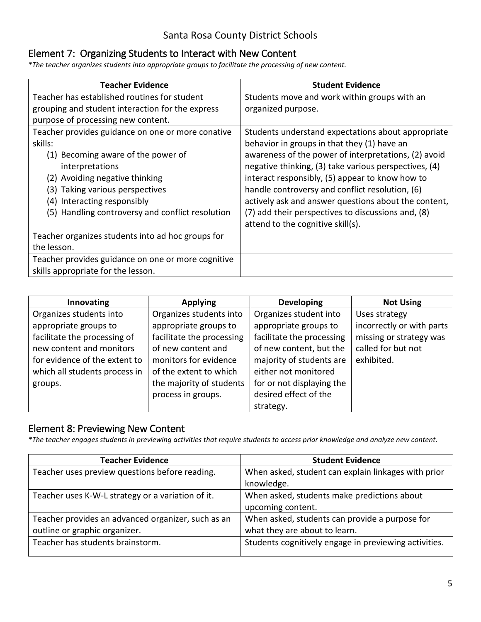#### Element 7: Organizing Students to Interact with New Content

*\*The teacher organizes students into appropriate groups to facilitate the processing of new content.* 

| <b>Teacher Evidence</b>                            | <b>Student Evidence</b>                               |
|----------------------------------------------------|-------------------------------------------------------|
| Teacher has established routines for student       | Students move and work within groups with an          |
| grouping and student interaction for the express   | organized purpose.                                    |
| purpose of processing new content.                 |                                                       |
| Teacher provides guidance on one or more conative  | Students understand expectations about appropriate    |
| skills:                                            | behavior in groups in that they (1) have an           |
| (1) Becoming aware of the power of                 | awareness of the power of interpretations, (2) avoid  |
| interpretations                                    | negative thinking, (3) take various perspectives, (4) |
| (2) Avoiding negative thinking                     | interact responsibly, (5) appear to know how to       |
| (3) Taking various perspectives                    | handle controversy and conflict resolution, (6)       |
| (4) Interacting responsibly                        | actively ask and answer questions about the content,  |
| (5) Handling controversy and conflict resolution   | (7) add their perspectives to discussions and, (8)    |
|                                                    | attend to the cognitive skill(s).                     |
| Teacher organizes students into ad hoc groups for  |                                                       |
| the lesson.                                        |                                                       |
| Teacher provides guidance on one or more cognitive |                                                       |
| skills appropriate for the lesson.                 |                                                       |

| Innovating                    | <b>Applying</b>           | <b>Developing</b>         | <b>Not Using</b>          |
|-------------------------------|---------------------------|---------------------------|---------------------------|
| Organizes students into       | Organizes students into   | Organizes student into    | Uses strategy             |
| appropriate groups to         | appropriate groups to     | appropriate groups to     | incorrectly or with parts |
| facilitate the processing of  | facilitate the processing | facilitate the processing | missing or strategy was   |
| new content and monitors      | of new content and        | of new content, but the   | called for but not        |
| for evidence of the extent to | monitors for evidence     | majority of students are  | exhibited.                |
| which all students process in | of the extent to which    | either not monitored      |                           |
| groups.                       | the majority of students  | for or not displaying the |                           |
|                               | process in groups.        | desired effect of the     |                           |
|                               |                           | strategy.                 |                           |

#### Element 8: Previewing New Content

*\*The teacher engages students in previewing activities that require students to access prior knowledge and analyze new content.* 

| <b>Teacher Evidence</b>                            | <b>Student Evidence</b>                               |
|----------------------------------------------------|-------------------------------------------------------|
| Teacher uses preview questions before reading.     | When asked, student can explain linkages with prior   |
|                                                    | knowledge.                                            |
| Teacher uses K-W-L strategy or a variation of it.  | When asked, students make predictions about           |
|                                                    | upcoming content.                                     |
| Teacher provides an advanced organizer, such as an | When asked, students can provide a purpose for        |
| outline or graphic organizer.                      | what they are about to learn.                         |
| Teacher has students brainstorm.                   | Students cognitively engage in previewing activities. |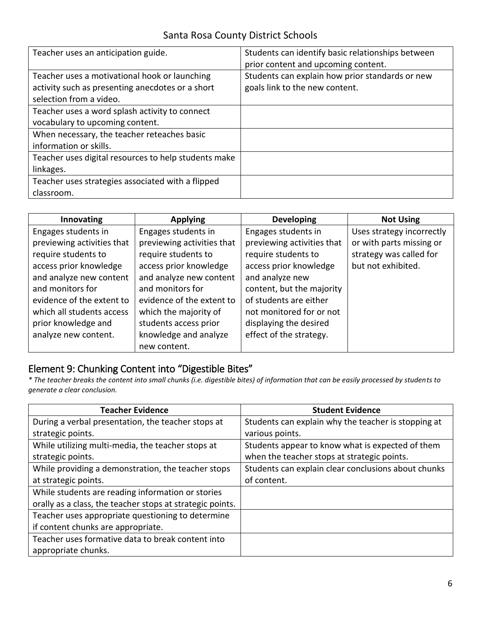| Teacher uses an anticipation guide.                                                                                          | Students can identify basic relationships between<br>prior content and upcoming content. |
|------------------------------------------------------------------------------------------------------------------------------|------------------------------------------------------------------------------------------|
| Teacher uses a motivational hook or launching<br>activity such as presenting anecdotes or a short<br>selection from a video. | Students can explain how prior standards or new<br>goals link to the new content.        |
| Teacher uses a word splash activity to connect<br>vocabulary to upcoming content.                                            |                                                                                          |
| When necessary, the teacher reteaches basic<br>information or skills.                                                        |                                                                                          |
| Teacher uses digital resources to help students make<br>linkages.                                                            |                                                                                          |
| Teacher uses strategies associated with a flipped<br>classroom.                                                              |                                                                                          |

| Innovating                 | <b>Applying</b>            | <b>Developing</b>          | <b>Not Using</b>          |
|----------------------------|----------------------------|----------------------------|---------------------------|
| Engages students in        | Engages students in        | Engages students in        | Uses strategy incorrectly |
| previewing activities that | previewing activities that | previewing activities that | or with parts missing or  |
| require students to        | require students to        | require students to        | strategy was called for   |
| access prior knowledge     | access prior knowledge     | access prior knowledge     | but not exhibited.        |
| and analyze new content    | and analyze new content    | and analyze new            |                           |
| and monitors for           | and monitors for           | content, but the majority  |                           |
| evidence of the extent to  | evidence of the extent to  | of students are either     |                           |
| which all students access  | which the majority of      | not monitored for or not   |                           |
| prior knowledge and        | students access prior      | displaying the desired     |                           |
| analyze new content.       | knowledge and analyze      | effect of the strategy.    |                           |
|                            | new content.               |                            |                           |

## Element 9: Chunking Content into "Digestible Bites"

*\* The teacher breaks the content into small chunks (i.e. digestible bites) of information that can be easily processed by students to generate a clear conclusion.* 

| <b>Teacher Evidence</b>                                   | <b>Student Evidence</b>                             |
|-----------------------------------------------------------|-----------------------------------------------------|
| During a verbal presentation, the teacher stops at        | Students can explain why the teacher is stopping at |
| strategic points.                                         | various points.                                     |
| While utilizing multi-media, the teacher stops at         | Students appear to know what is expected of them    |
| strategic points.                                         | when the teacher stops at strategic points.         |
| While providing a demonstration, the teacher stops        | Students can explain clear conclusions about chunks |
| at strategic points.                                      | of content.                                         |
| While students are reading information or stories         |                                                     |
| orally as a class, the teacher stops at strategic points. |                                                     |
| Teacher uses appropriate questioning to determine         |                                                     |
| if content chunks are appropriate.                        |                                                     |
| Teacher uses formative data to break content into         |                                                     |
| appropriate chunks.                                       |                                                     |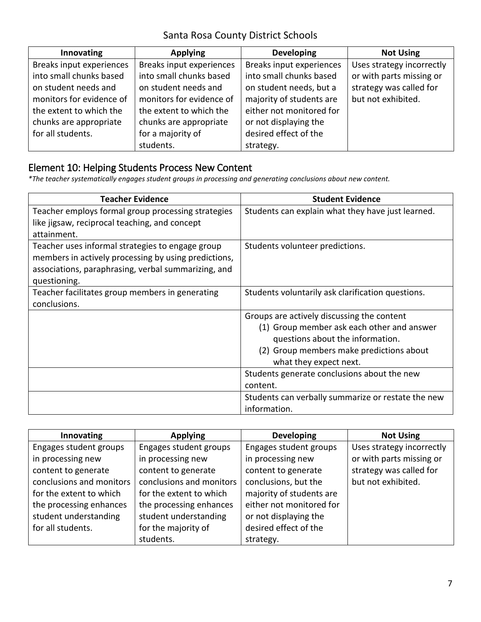| Innovating               | <b>Applying</b>          | <b>Developing</b>        | <b>Not Using</b>          |
|--------------------------|--------------------------|--------------------------|---------------------------|
| Breaks input experiences | Breaks input experiences | Breaks input experiences | Uses strategy incorrectly |
| into small chunks based  | into small chunks based  | into small chunks based  | or with parts missing or  |
| on student needs and     | on student needs and     | on student needs, but a  | strategy was called for   |
| monitors for evidence of | monitors for evidence of | majority of students are | but not exhibited.        |
| the extent to which the  | the extent to which the  | either not monitored for |                           |
| chunks are appropriate   | chunks are appropriate   | or not displaying the    |                           |
| for all students.        | for a majority of        | desired effect of the    |                           |
|                          | students.                | strategy.                |                           |

### Element 10: Helping Students Process New Content

*\*The teacher systematically engages student groups in processing and generating conclusions about new content.* 

| <b>Teacher Evidence</b>                              | <b>Student Evidence</b>                            |
|------------------------------------------------------|----------------------------------------------------|
| Teacher employs formal group processing strategies   | Students can explain what they have just learned.  |
| like jigsaw, reciprocal teaching, and concept        |                                                    |
| attainment.                                          |                                                    |
| Teacher uses informal strategies to engage group     | Students volunteer predictions.                    |
| members in actively processing by using predictions, |                                                    |
| associations, paraphrasing, verbal summarizing, and  |                                                    |
| questioning.                                         |                                                    |
| Teacher facilitates group members in generating      | Students voluntarily ask clarification questions.  |
| conclusions.                                         |                                                    |
|                                                      | Groups are actively discussing the content         |
|                                                      | (1) Group member ask each other and answer         |
|                                                      | questions about the information.                   |
|                                                      | (2) Group members make predictions about           |
|                                                      | what they expect next.                             |
|                                                      | Students generate conclusions about the new        |
|                                                      | content.                                           |
|                                                      | Students can verbally summarize or restate the new |
|                                                      | information.                                       |

| Innovating               | <b>Applying</b>          | <b>Developing</b>        | <b>Not Using</b>          |
|--------------------------|--------------------------|--------------------------|---------------------------|
| Engages student groups   | Engages student groups   | Engages student groups   | Uses strategy incorrectly |
| in processing new        | in processing new        | in processing new        | or with parts missing or  |
| content to generate      | content to generate      | content to generate      | strategy was called for   |
| conclusions and monitors | conclusions and monitors | conclusions, but the     | but not exhibited.        |
| for the extent to which  | for the extent to which  | majority of students are |                           |
| the processing enhances  | the processing enhances  | either not monitored for |                           |
| student understanding    | student understanding    | or not displaying the    |                           |
| for all students.        | for the majority of      | desired effect of the    |                           |
|                          | students.                | strategy.                |                           |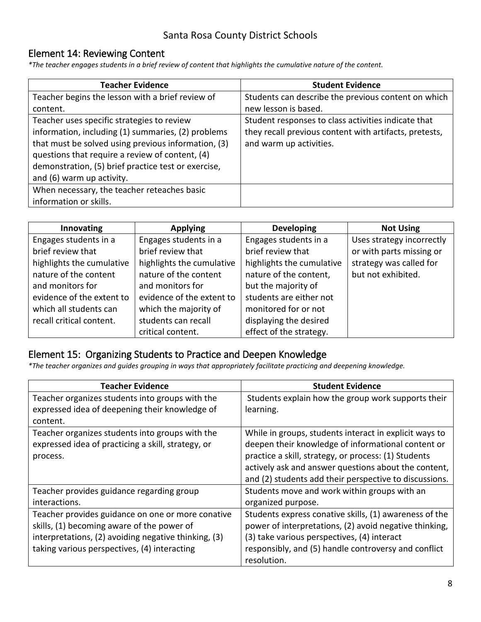### Element 14: Reviewing Content

*\*The teacher engages students in a brief review of content that highlights the cumulative nature of the content.* 

| <b>Teacher Evidence</b>                             | <b>Student Evidence</b>                                |
|-----------------------------------------------------|--------------------------------------------------------|
| Teacher begins the lesson with a brief review of    | Students can describe the previous content on which    |
| content.                                            | new lesson is based.                                   |
| Teacher uses specific strategies to review          | Student responses to class activities indicate that    |
| information, including (1) summaries, (2) problems  | they recall previous content with artifacts, pretests, |
| that must be solved using previous information, (3) | and warm up activities.                                |
| questions that require a review of content, (4)     |                                                        |
| demonstration, (5) brief practice test or exercise, |                                                        |
| and (6) warm up activity.                           |                                                        |
| When necessary, the teacher reteaches basic         |                                                        |
| information or skills.                              |                                                        |

| Innovating                | <b>Applying</b>           | <b>Developing</b>         | <b>Not Using</b>          |
|---------------------------|---------------------------|---------------------------|---------------------------|
| Engages students in a     | Engages students in a     | Engages students in a     | Uses strategy incorrectly |
| brief review that         | brief review that         | brief review that         | or with parts missing or  |
| highlights the cumulative | highlights the cumulative | highlights the cumulative | strategy was called for   |
| nature of the content     | nature of the content     | nature of the content,    | but not exhibited.        |
| and monitors for          | and monitors for          | but the majority of       |                           |
| evidence of the extent to | evidence of the extent to | students are either not   |                           |
| which all students can    | which the majority of     | monitored for or not      |                           |
| recall critical content.  | students can recall       | displaying the desired    |                           |
|                           | critical content.         | effect of the strategy.   |                           |

#### Element 15: Organizing Students to Practice and Deepen Knowledge

*\*The teacher organizes and guides grouping in ways that appropriately facilitate practicing and deepening knowledge.* 

| <b>Teacher Evidence</b>                              | <b>Student Evidence</b>                                |
|------------------------------------------------------|--------------------------------------------------------|
| Teacher organizes students into groups with the      | Students explain how the group work supports their     |
| expressed idea of deepening their knowledge of       | learning.                                              |
| content.                                             |                                                        |
| Teacher organizes students into groups with the      | While in groups, students interact in explicit ways to |
| expressed idea of practicing a skill, strategy, or   | deepen their knowledge of informational content or     |
| process.                                             | practice a skill, strategy, or process: (1) Students   |
|                                                      | actively ask and answer questions about the content,   |
|                                                      | and (2) students add their perspective to discussions. |
| Teacher provides guidance regarding group            | Students move and work within groups with an           |
| interactions.                                        | organized purpose.                                     |
| Teacher provides guidance on one or more conative    | Students express conative skills, (1) awareness of the |
| skills, (1) becoming aware of the power of           | power of interpretations, (2) avoid negative thinking, |
| interpretations, (2) avoiding negative thinking, (3) | (3) take various perspectives, (4) interact            |
| taking various perspectives, (4) interacting         | responsibly, and (5) handle controversy and conflict   |
|                                                      | resolution.                                            |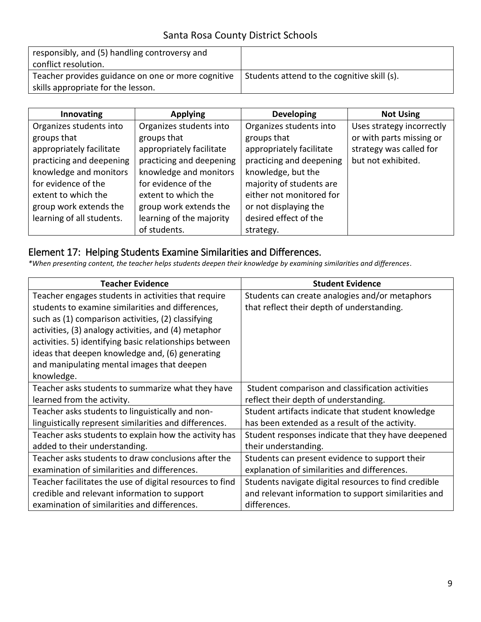| responsibly, and (5) handling controversy and      |                                             |
|----------------------------------------------------|---------------------------------------------|
| conflict resolution.                               |                                             |
| Teacher provides guidance on one or more cognitive | Students attend to the cognitive skill (s). |
| skills appropriate for the lesson.                 |                                             |

| Innovating                | <b>Applying</b>          | <b>Developing</b>        | <b>Not Using</b>          |
|---------------------------|--------------------------|--------------------------|---------------------------|
| Organizes students into   | Organizes students into  | Organizes students into  | Uses strategy incorrectly |
| groups that               | groups that              | groups that              | or with parts missing or  |
| appropriately facilitate  | appropriately facilitate | appropriately facilitate | strategy was called for   |
| practicing and deepening  | practicing and deepening | practicing and deepening | but not exhibited.        |
| knowledge and monitors    | knowledge and monitors   | knowledge, but the       |                           |
| for evidence of the       | for evidence of the      | majority of students are |                           |
| extent to which the       | extent to which the      | either not monitored for |                           |
| group work extends the    | group work extends the   | or not displaying the    |                           |
| learning of all students. | learning of the majority | desired effect of the    |                           |
|                           | of students.             | strategy.                |                           |

### Element 17: Helping Students Examine Similarities and Differences.

*\*When presenting content, the teacher helps students deepen their knowledge by examining similarities and differences*.

| <b>Teacher Evidence</b>                                  | <b>Student Evidence</b>                              |
|----------------------------------------------------------|------------------------------------------------------|
| Teacher engages students in activities that require      | Students can create analogies and/or metaphors       |
| students to examine similarities and differences,        | that reflect their depth of understanding.           |
| such as (1) comparison activities, (2) classifying       |                                                      |
| activities, (3) analogy activities, and (4) metaphor     |                                                      |
| activities. 5) identifying basic relationships between   |                                                      |
| ideas that deepen knowledge and, (6) generating          |                                                      |
| and manipulating mental images that deepen               |                                                      |
| knowledge.                                               |                                                      |
| Teacher asks students to summarize what they have        | Student comparison and classification activities     |
| learned from the activity.                               | reflect their depth of understanding.                |
| Teacher asks students to linguistically and non-         | Student artifacts indicate that student knowledge    |
| linguistically represent similarities and differences.   | has been extended as a result of the activity.       |
| Teacher asks students to explain how the activity has    | Student responses indicate that they have deepened   |
| added to their understanding.                            | their understanding.                                 |
| Teacher asks students to draw conclusions after the      | Students can present evidence to support their       |
| examination of similarities and differences.             | explanation of similarities and differences.         |
| Teacher facilitates the use of digital resources to find | Students navigate digital resources to find credible |
| credible and relevant information to support             | and relevant information to support similarities and |
| examination of similarities and differences.             | differences.                                         |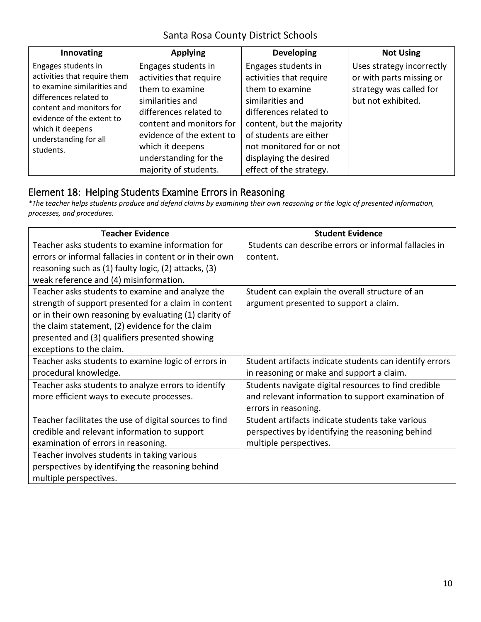| Innovating                                                                                                                                                                                                                      | <b>Applying</b>                                                                                                                                                                                                       | <b>Developing</b>                                                                                                                                                                                                            | <b>Not Using</b>                                                                                       |
|---------------------------------------------------------------------------------------------------------------------------------------------------------------------------------------------------------------------------------|-----------------------------------------------------------------------------------------------------------------------------------------------------------------------------------------------------------------------|------------------------------------------------------------------------------------------------------------------------------------------------------------------------------------------------------------------------------|--------------------------------------------------------------------------------------------------------|
| Engages students in<br>activities that require them<br>to examine similarities and<br>differences related to<br>content and monitors for<br>evidence of the extent to<br>which it deepens<br>understanding for all<br>students. | Engages students in<br>activities that require<br>them to examine<br>similarities and<br>differences related to<br>content and monitors for<br>evidence of the extent to<br>which it deepens<br>understanding for the | Engages students in<br>activities that require<br>them to examine<br>similarities and<br>differences related to<br>content, but the majority<br>of students are either<br>not monitored for or not<br>displaying the desired | Uses strategy incorrectly<br>or with parts missing or<br>strategy was called for<br>but not exhibited. |
|                                                                                                                                                                                                                                 | majority of students.                                                                                                                                                                                                 | effect of the strategy.                                                                                                                                                                                                      |                                                                                                        |

### Element 18: Helping Students Examine Errors in Reasoning

*\*The teacher helps students produce and defend claims by examining their own reasoning or the logic of presented information, processes, and procedures.* 

| <b>Teacher Evidence</b>                                 | <b>Student Evidence</b>                                 |
|---------------------------------------------------------|---------------------------------------------------------|
| Teacher asks students to examine information for        | Students can describe errors or informal fallacies in   |
| errors or informal fallacies in content or in their own | content.                                                |
| reasoning such as (1) faulty logic, (2) attacks, (3)    |                                                         |
| weak reference and (4) misinformation.                  |                                                         |
| Teacher asks students to examine and analyze the        | Student can explain the overall structure of an         |
| strength of support presented for a claim in content    | argument presented to support a claim.                  |
| or in their own reasoning by evaluating (1) clarity of  |                                                         |
| the claim statement, (2) evidence for the claim         |                                                         |
| presented and (3) qualifiers presented showing          |                                                         |
| exceptions to the claim.                                |                                                         |
| Teacher asks students to examine logic of errors in     | Student artifacts indicate students can identify errors |
| procedural knowledge.                                   | in reasoning or make and support a claim.               |
| Teacher asks students to analyze errors to identify     | Students navigate digital resources to find credible    |
| more efficient ways to execute processes.               | and relevant information to support examination of      |
|                                                         | errors in reasoning.                                    |
| Teacher facilitates the use of digital sources to find  | Student artifacts indicate students take various        |
| credible and relevant information to support            | perspectives by identifying the reasoning behind        |
| examination of errors in reasoning.                     | multiple perspectives.                                  |
| Teacher involves students in taking various             |                                                         |
| perspectives by identifying the reasoning behind        |                                                         |
| multiple perspectives.                                  |                                                         |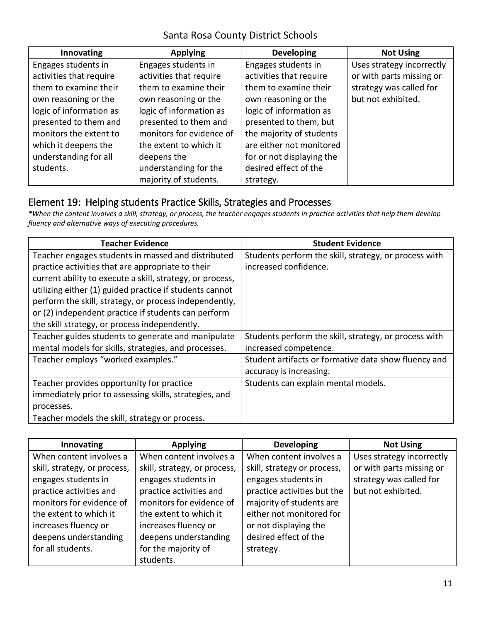| Innovating              | <b>Applying</b>          | <b>Developing</b>         | <b>Not Using</b>          |
|-------------------------|--------------------------|---------------------------|---------------------------|
| Engages students in     | Engages students in      | Engages students in       | Uses strategy incorrectly |
| activities that require | activities that require  | activities that require   | or with parts missing or  |
| them to examine their   | them to examine their    | them to examine their     | strategy was called for   |
| own reasoning or the    | own reasoning or the     | own reasoning or the      | but not exhibited.        |
| logic of information as | logic of information as  | logic of information as   |                           |
| presented to them and   | presented to them and    | presented to them, but    |                           |
| monitors the extent to  | monitors for evidence of | the majority of students  |                           |
| which it deepens the    | the extent to which it   | are either not monitored  |                           |
| understanding for all   | deepens the              | for or not displaying the |                           |
| students.               | understanding for the    | desired effect of the     |                           |
|                         | majority of students.    | strategy.                 |                           |

#### Element 19: Helping students Practice Skills, Strategies and Processes

*\*When the content involves a skill, strategy, or process, the teacher engages students in practice activities that help them develop fluency and alternative ways of executing procedures.* 

| <b>Teacher Evidence</b>                                   | <b>Student Evidence</b>                               |
|-----------------------------------------------------------|-------------------------------------------------------|
| Teacher engages students in massed and distributed        | Students perform the skill, strategy, or process with |
| practice activities that are appropriate to their         | increased confidence.                                 |
| current ability to execute a skill, strategy, or process, |                                                       |
| utilizing either (1) guided practice if students cannot   |                                                       |
| perform the skill, strategy, or process independently,    |                                                       |
| or (2) independent practice if students can perform       |                                                       |
| the skill strategy, or process independently.             |                                                       |
| Teacher guides students to generate and manipulate        | Students perform the skill, strategy, or process with |
| mental models for skills, strategies, and processes.      | increased competence.                                 |
| Teacher employs "worked examples."                        | Student artifacts or formative data show fluency and  |
|                                                           | accuracy is increasing.                               |
| Teacher provides opportunity for practice                 | Students can explain mental models.                   |
| immediately prior to assessing skills, strategies, and    |                                                       |
| processes.                                                |                                                       |
| Teacher models the skill, strategy or process.            |                                                       |

| Innovating                   | <b>Applying</b>              | <b>Developing</b>           | <b>Not Using</b>          |
|------------------------------|------------------------------|-----------------------------|---------------------------|
| When content involves a      | When content involves a      | When content involves a     | Uses strategy incorrectly |
| skill, strategy, or process, | skill, strategy, or process, | skill, strategy or process, | or with parts missing or  |
| engages students in          | engages students in          | engages students in         | strategy was called for   |
| practice activities and      | practice activities and      | practice activities but the | but not exhibited.        |
| monitors for evidence of     | monitors for evidence of     | majority of students are    |                           |
| the extent to which it       | the extent to which it       | either not monitored for    |                           |
| increases fluency or         | increases fluency or         | or not displaying the       |                           |
| deepens understanding        | deepens understanding        | desired effect of the       |                           |
| for all students.            | for the majority of          | strategy.                   |                           |
|                              | students.                    |                             |                           |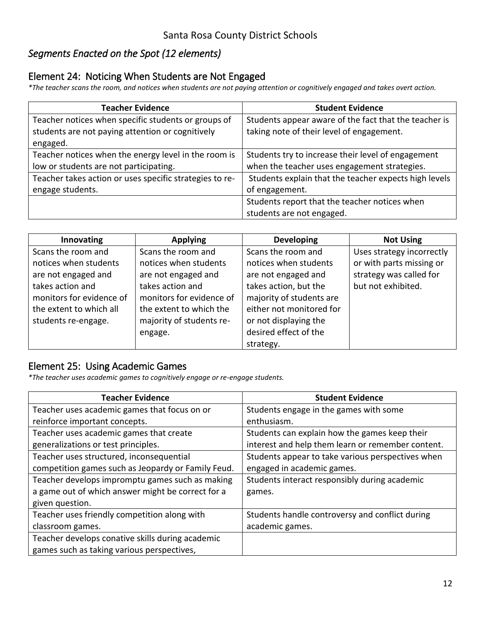### *Segments Enacted on the Spot (12 elements)*

#### Element 24: Noticing When Students are Not Engaged

*\*The teacher scans the room, and notices when students are not paying attention or cognitively engaged and takes overt action.* 

| <b>Teacher Evidence</b>                                 | <b>Student Evidence</b>                               |
|---------------------------------------------------------|-------------------------------------------------------|
| Teacher notices when specific students or groups of     | Students appear aware of the fact that the teacher is |
| students are not paying attention or cognitively        | taking note of their level of engagement.             |
| engaged.                                                |                                                       |
| Teacher notices when the energy level in the room is    | Students try to increase their level of engagement    |
| low or students are not participating.                  | when the teacher uses engagement strategies.          |
| Teacher takes action or uses specific strategies to re- | Students explain that the teacher expects high levels |
| engage students.                                        | of engagement.                                        |
|                                                         | Students report that the teacher notices when         |
|                                                         | students are not engaged.                             |

| Innovating               | <b>Applying</b>          | <b>Developing</b>        | <b>Not Using</b>          |
|--------------------------|--------------------------|--------------------------|---------------------------|
| Scans the room and       | Scans the room and       | Scans the room and       | Uses strategy incorrectly |
| notices when students    | notices when students    | notices when students    | or with parts missing or  |
| are not engaged and      | are not engaged and      | are not engaged and      | strategy was called for   |
| takes action and         | takes action and         | takes action, but the    | but not exhibited.        |
| monitors for evidence of | monitors for evidence of | majority of students are |                           |
| the extent to which all  | the extent to which the  | either not monitored for |                           |
| students re-engage.      | majority of students re- | or not displaying the    |                           |
|                          | engage.                  | desired effect of the    |                           |
|                          |                          | strategy.                |                           |

#### Element 25: Using Academic Games

*\*The teacher uses academic games to cognitively engage or re-engage students.* 

| <b>Teacher Evidence</b>                            | <b>Student Evidence</b>                           |
|----------------------------------------------------|---------------------------------------------------|
| Teacher uses academic games that focus on or       | Students engage in the games with some            |
| reinforce important concepts.                      | enthusiasm.                                       |
| Teacher uses academic games that create            | Students can explain how the games keep their     |
| generalizations or test principles.                | interest and help them learn or remember content. |
| Teacher uses structured, inconsequential           | Students appear to take various perspectives when |
| competition games such as Jeopardy or Family Feud. | engaged in academic games.                        |
| Teacher develops impromptu games such as making    | Students interact responsibly during academic     |
| a game out of which answer might be correct for a  | games.                                            |
| given question.                                    |                                                   |
| Teacher uses friendly competition along with       | Students handle controversy and conflict during   |
| classroom games.                                   | academic games.                                   |
| Teacher develops conative skills during academic   |                                                   |
| games such as taking various perspectives,         |                                                   |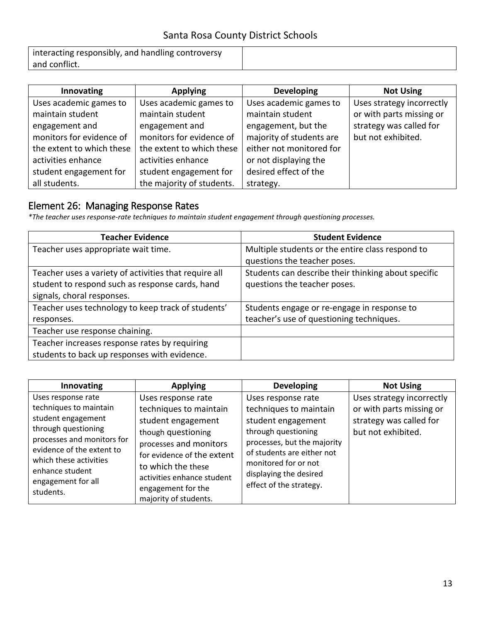| interacting responsibly, and handling controversy |  |
|---------------------------------------------------|--|
| and conflict.                                     |  |

| Innovating                | <b>Applying</b>           | <b>Developing</b>        | <b>Not Using</b>          |
|---------------------------|---------------------------|--------------------------|---------------------------|
| Uses academic games to    | Uses academic games to    | Uses academic games to   | Uses strategy incorrectly |
| maintain student          | maintain student          | maintain student         | or with parts missing or  |
| engagement and            | engagement and            | engagement, but the      | strategy was called for   |
| monitors for evidence of  | monitors for evidence of  | majority of students are | but not exhibited.        |
| the extent to which these | the extent to which these | either not monitored for |                           |
| activities enhance        | activities enhance        | or not displaying the    |                           |
| student engagement for    | student engagement for    | desired effect of the    |                           |
| all students.             | the majority of students. | strategy.                |                           |

### Element 26: Managing Response Rates

*\*The teacher uses response-rate techniques to maintain student engagement through questioning processes.* 

| <b>Teacher Evidence</b>                               | <b>Student Evidence</b>                             |
|-------------------------------------------------------|-----------------------------------------------------|
| Teacher uses appropriate wait time.                   | Multiple students or the entire class respond to    |
|                                                       | questions the teacher poses.                        |
| Teacher uses a variety of activities that require all | Students can describe their thinking about specific |
| student to respond such as response cards, hand       | questions the teacher poses.                        |
| signals, choral responses.                            |                                                     |
| Teacher uses technology to keep track of students'    | Students engage or re-engage in response to         |
| responses.                                            | teacher's use of questioning techniques.            |
| Teacher use response chaining.                        |                                                     |
| Teacher increases response rates by requiring         |                                                     |
| students to back up responses with evidence.          |                                                     |

| Innovating                                                                                                                                                                                                                           | <b>Applying</b>                                                                                                                                                                                                                                     | <b>Developing</b>                                                                                                                                                                                                                   | <b>Not Using</b>                                                                                       |
|--------------------------------------------------------------------------------------------------------------------------------------------------------------------------------------------------------------------------------------|-----------------------------------------------------------------------------------------------------------------------------------------------------------------------------------------------------------------------------------------------------|-------------------------------------------------------------------------------------------------------------------------------------------------------------------------------------------------------------------------------------|--------------------------------------------------------------------------------------------------------|
| Uses response rate<br>techniques to maintain<br>student engagement<br>through questioning<br>processes and monitors for<br>evidence of the extent to<br>which these activities<br>enhance student<br>engagement for all<br>students. | Uses response rate<br>techniques to maintain<br>student engagement<br>though questioning<br>processes and monitors<br>for evidence of the extent<br>to which the these<br>activities enhance student<br>engagement for the<br>majority of students. | Uses response rate<br>techniques to maintain<br>student engagement<br>through questioning<br>processes, but the majority<br>of students are either not<br>monitored for or not<br>displaying the desired<br>effect of the strategy. | Uses strategy incorrectly<br>or with parts missing or<br>strategy was called for<br>but not exhibited. |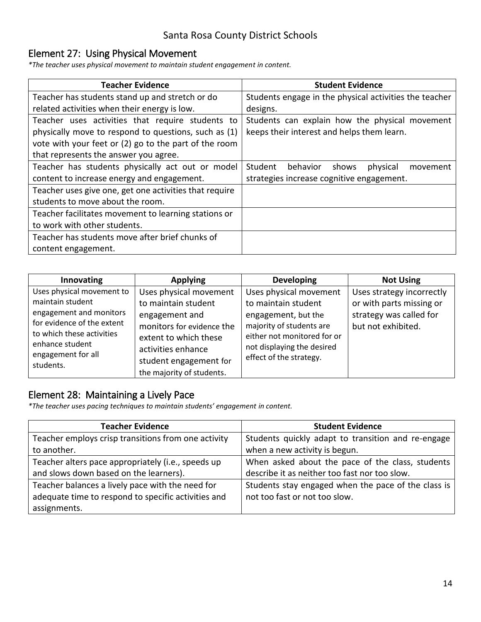### Element 27: Using Physical Movement

*\*The teacher uses physical movement to maintain student engagement in content.* 

| <b>Teacher Evidence</b>                                | <b>Student Evidence</b>                                |
|--------------------------------------------------------|--------------------------------------------------------|
| Teacher has students stand up and stretch or do        | Students engage in the physical activities the teacher |
| related activities when their energy is low.           | designs.                                               |
| Teacher uses activities that require students to       | Students can explain how the physical movement         |
| physically move to respond to questions, such as (1)   | keeps their interest and helps them learn.             |
| vote with your feet or (2) go to the part of the room  |                                                        |
| that represents the answer you agree.                  |                                                        |
| Teacher has students physically act out or model       | Student<br>behavior<br>shows<br>physical<br>movement   |
| content to increase energy and engagement.             | strategies increase cognitive engagement.              |
| Teacher uses give one, get one activities that require |                                                        |
| students to move about the room.                       |                                                        |
| Teacher facilitates movement to learning stations or   |                                                        |
| to work with other students.                           |                                                        |
| Teacher has students move after brief chunks of        |                                                        |
| content engagement.                                    |                                                        |

| Innovating                                                                                                                                             | <b>Applying</b>                                                                                                                             | <b>Developing</b>                                                                                                                                             | <b>Not Using</b>                                                                                       |
|--------------------------------------------------------------------------------------------------------------------------------------------------------|---------------------------------------------------------------------------------------------------------------------------------------------|---------------------------------------------------------------------------------------------------------------------------------------------------------------|--------------------------------------------------------------------------------------------------------|
| Uses physical movement to<br>maintain student<br>engagement and monitors<br>for evidence of the extent<br>to which these activities<br>enhance student | Uses physical movement<br>to maintain student<br>engagement and<br>monitors for evidence the<br>extent to which these<br>activities enhance | Uses physical movement<br>to maintain student<br>engagement, but the<br>majority of students are<br>either not monitored for or<br>not displaying the desired | Uses strategy incorrectly<br>or with parts missing or<br>strategy was called for<br>but not exhibited. |
| engagement for all<br>students.                                                                                                                        | student engagement for<br>the majority of students.                                                                                         | effect of the strategy.                                                                                                                                       |                                                                                                        |

### Element 28: Maintaining a Lively Pace

*\*The teacher uses pacing techniques to maintain students' engagement in content.* 

| <b>Teacher Evidence</b>                             | <b>Student Evidence</b>                             |
|-----------------------------------------------------|-----------------------------------------------------|
| Teacher employs crisp transitions from one activity | Students quickly adapt to transition and re-engage  |
| to another.                                         | when a new activity is begun.                       |
| Teacher alters pace appropriately (i.e., speeds up  | When asked about the pace of the class, students    |
| and slows down based on the learners).              | describe it as neither too fast nor too slow.       |
| Teacher balances a lively pace with the need for    | Students stay engaged when the pace of the class is |
| adequate time to respond to specific activities and | not too fast or not too slow.                       |
| assignments.                                        |                                                     |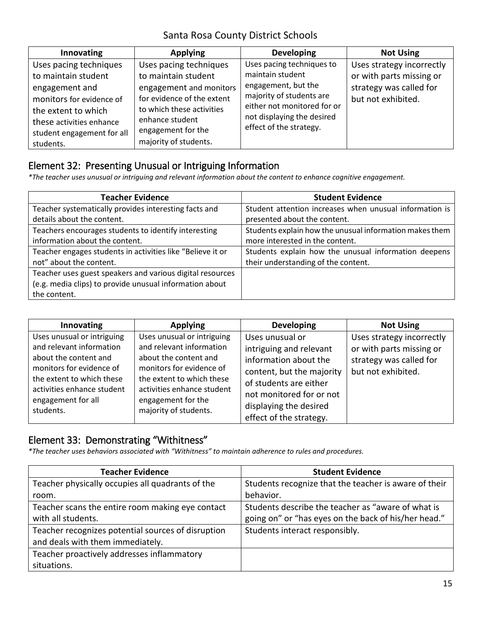| Innovating                                                                                                                                                                                | <b>Applying</b>                                                                                                                                                                                       | <b>Developing</b>                                                                                                                                                                        | <b>Not Using</b>                                                                                       |
|-------------------------------------------------------------------------------------------------------------------------------------------------------------------------------------------|-------------------------------------------------------------------------------------------------------------------------------------------------------------------------------------------------------|------------------------------------------------------------------------------------------------------------------------------------------------------------------------------------------|--------------------------------------------------------------------------------------------------------|
| Uses pacing techniques<br>to maintain student<br>engagement and<br>monitors for evidence of<br>the extent to which<br>these activities enhance<br>student engagement for all<br>students. | Uses pacing techniques<br>to maintain student<br>engagement and monitors<br>for evidence of the extent<br>to which these activities<br>enhance student<br>engagement for the<br>majority of students. | Uses pacing techniques to<br>maintain student<br>engagement, but the<br>majority of students are<br>either not monitored for or<br>not displaying the desired<br>effect of the strategy. | Uses strategy incorrectly<br>or with parts missing or<br>strategy was called for<br>but not exhibited. |

### Element 32: Presenting Unusual or Intriguing Information

*\*The teacher uses unusual or intriguing and relevant information about the content to enhance cognitive engagement.* 

| <b>Teacher Evidence</b>                                    | <b>Student Evidence</b>                                 |
|------------------------------------------------------------|---------------------------------------------------------|
| Teacher systematically provides interesting facts and      | Student attention increases when unusual information is |
| details about the content.                                 | presented about the content.                            |
| Teachers encourages students to identify interesting       | Students explain how the unusual information makes them |
| information about the content.                             | more interested in the content.                         |
| Teacher engages students in activities like "Believe it or | Students explain how the unusual information deepens    |
| not" about the content.                                    | their understanding of the content.                     |
| Teacher uses guest speakers and various digital resources  |                                                         |
| (e.g. media clips) to provide unusual information about    |                                                         |
| the content.                                               |                                                         |

| Innovating                                                                                                                                                                                                | <b>Applying</b>                                                                                                                                                                                                       | <b>Developing</b>                                                                                                                                                                                           | <b>Not Using</b>                                                                                       |
|-----------------------------------------------------------------------------------------------------------------------------------------------------------------------------------------------------------|-----------------------------------------------------------------------------------------------------------------------------------------------------------------------------------------------------------------------|-------------------------------------------------------------------------------------------------------------------------------------------------------------------------------------------------------------|--------------------------------------------------------------------------------------------------------|
| Uses unusual or intriguing<br>and relevant information<br>about the content and<br>monitors for evidence of<br>the extent to which these<br>activities enhance student<br>engagement for all<br>students. | Uses unusual or intriguing<br>and relevant information<br>about the content and<br>monitors for evidence of<br>the extent to which these<br>activities enhance student<br>engagement for the<br>majority of students. | Uses unusual or<br>intriguing and relevant<br>information about the<br>content, but the majority<br>of students are either<br>not monitored for or not<br>displaying the desired<br>effect of the strategy. | Uses strategy incorrectly<br>or with parts missing or<br>strategy was called for<br>but not exhibited. |

### Element 33: Demonstrating "Withitness"

*\*The teacher uses behaviors associated with "Withitness" to maintain adherence to rules and procedures.*

| <b>Teacher Evidence</b>                            | <b>Student Evidence</b>                               |
|----------------------------------------------------|-------------------------------------------------------|
| Teacher physically occupies all quadrants of the   | Students recognize that the teacher is aware of their |
| room.                                              | behavior.                                             |
| Teacher scans the entire room making eye contact   | Students describe the teacher as "aware of what is    |
| with all students.                                 | going on" or "has eyes on the back of his/her head."  |
| Teacher recognizes potential sources of disruption | Students interact responsibly.                        |
| and deals with them immediately.                   |                                                       |
| Teacher proactively addresses inflammatory         |                                                       |
| situations.                                        |                                                       |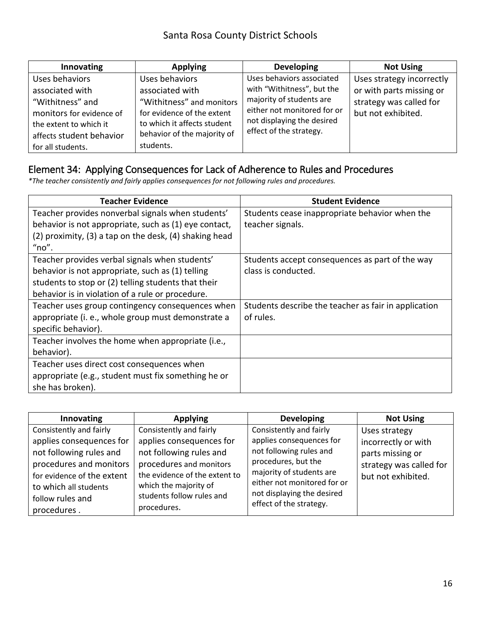| Innovating               | <b>Applying</b>             | <b>Developing</b>           | <b>Not Using</b>          |
|--------------------------|-----------------------------|-----------------------------|---------------------------|
| Uses behaviors           | Uses behaviors              | Uses behaviors associated   | Uses strategy incorrectly |
| associated with          | associated with             | with "Withitness", but the  | or with parts missing or  |
| "Withitness" and         | "Withitness" and monitors   | majority of students are    | strategy was called for   |
| monitors for evidence of | for evidence of the extent  | either not monitored for or | but not exhibited.        |
| the extent to which it   | to which it affects student | not displaying the desired  |                           |
| affects student behavior | behavior of the majority of | effect of the strategy.     |                           |
| for all students.        | students.                   |                             |                           |

### Element 34: Applying Consequences for Lack of Adherence to Rules and Procedures

*\*The teacher consistently and fairly applies consequences for not following rules and procedures.* 

| <b>Teacher Evidence</b>                                | <b>Student Evidence</b>                              |
|--------------------------------------------------------|------------------------------------------------------|
| Teacher provides nonverbal signals when students'      | Students cease inappropriate behavior when the       |
| behavior is not appropriate, such as (1) eye contact,  | teacher signals.                                     |
| (2) proximity, (3) a tap on the desk, (4) shaking head |                                                      |
| "no".                                                  |                                                      |
| Teacher provides verbal signals when students'         | Students accept consequences as part of the way      |
| behavior is not appropriate, such as (1) telling       | class is conducted.                                  |
| students to stop or (2) telling students that their    |                                                      |
| behavior is in violation of a rule or procedure.       |                                                      |
| Teacher uses group contingency consequences when       | Students describe the teacher as fair in application |
| appropriate (i. e., whole group must demonstrate a     | of rules.                                            |
| specific behavior).                                    |                                                      |
| Teacher involves the home when appropriate (i.e.,      |                                                      |
| behavior).                                             |                                                      |
| Teacher uses direct cost consequences when             |                                                      |
| appropriate (e.g., student must fix something he or    |                                                      |
| she has broken).                                       |                                                      |

| Innovating                                                                     | <b>Applying</b>                                                                   | <b>Developing</b>                                                              | <b>Not Using</b>                              |
|--------------------------------------------------------------------------------|-----------------------------------------------------------------------------------|--------------------------------------------------------------------------------|-----------------------------------------------|
| Consistently and fairly                                                        | Consistently and fairly                                                           | Consistently and fairly                                                        | Uses strategy                                 |
| applies consequences for<br>not following rules and                            | applies consequences for<br>not following rules and                               | applies consequences for<br>not following rules and                            | incorrectly or with<br>parts missing or       |
| procedures and monitors<br>for evidence of the extent<br>to which all students | procedures and monitors<br>the evidence of the extent to<br>which the majority of | procedures, but the<br>majority of students are<br>either not monitored for or | strategy was called for<br>but not exhibited. |
| follow rules and<br>procedures.                                                | students follow rules and<br>procedures.                                          | not displaying the desired<br>effect of the strategy.                          |                                               |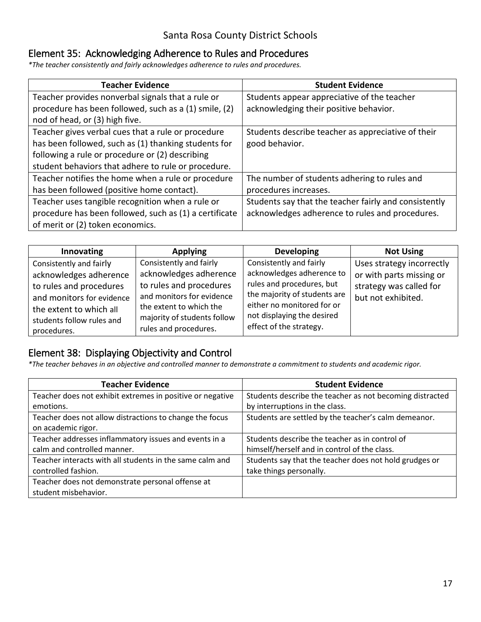### Element 35: Acknowledging Adherence to Rules and Procedures

*\*The teacher consistently and fairly acknowledges adherence to rules and procedures.* 

| <b>Teacher Evidence</b>                                | <b>Student Evidence</b>                               |
|--------------------------------------------------------|-------------------------------------------------------|
| Teacher provides nonverbal signals that a rule or      | Students appear appreciative of the teacher           |
| procedure has been followed, such as a (1) smile, (2)  | acknowledging their positive behavior.                |
| nod of head, or (3) high five.                         |                                                       |
| Teacher gives verbal cues that a rule or procedure     | Students describe teacher as appreciative of their    |
| has been followed, such as (1) thanking students for   | good behavior.                                        |
| following a rule or procedure or (2) describing        |                                                       |
| student behaviors that adhere to rule or procedure.    |                                                       |
| Teacher notifies the home when a rule or procedure     | The number of students adhering to rules and          |
| has been followed (positive home contact).             | procedures increases.                                 |
| Teacher uses tangible recognition when a rule or       | Students say that the teacher fairly and consistently |
| procedure has been followed, such as (1) a certificate | acknowledges adherence to rules and procedures.       |
| of merit or (2) token economics.                       |                                                       |

| Innovating                                                                                                                                                                       | <b>Applying</b>                                                                                                                                                                              | <b>Developing</b>                                                                                                                                                                                        | <b>Not Using</b>                                                                                       |
|----------------------------------------------------------------------------------------------------------------------------------------------------------------------------------|----------------------------------------------------------------------------------------------------------------------------------------------------------------------------------------------|----------------------------------------------------------------------------------------------------------------------------------------------------------------------------------------------------------|--------------------------------------------------------------------------------------------------------|
| Consistently and fairly<br>acknowledges adherence<br>to rules and procedures<br>and monitors for evidence<br>the extent to which all<br>students follow rules and<br>procedures. | Consistently and fairly<br>acknowledges adherence<br>to rules and procedures<br>and monitors for evidence<br>the extent to which the<br>majority of students follow<br>rules and procedures. | Consistently and fairly<br>acknowledges adherence to<br>rules and procedures, but<br>the majority of students are<br>either no monitored for or<br>not displaying the desired<br>effect of the strategy. | Uses strategy incorrectly<br>or with parts missing or<br>strategy was called for<br>but not exhibited. |

### Element 38: Displaying Objectivity and Control

*\*The teacher behaves in an objective and controlled manner to demonstrate a commitment to students and academic rigor.* 

| <b>Teacher Evidence</b>                                   | <b>Student Evidence</b>                                  |
|-----------------------------------------------------------|----------------------------------------------------------|
| Teacher does not exhibit extremes in positive or negative | Students describe the teacher as not becoming distracted |
| emotions.                                                 | by interruptions in the class.                           |
| Teacher does not allow distractions to change the focus   | Students are settled by the teacher's calm demeanor.     |
| on academic rigor.                                        |                                                          |
| Teacher addresses inflammatory issues and events in a     | Students describe the teacher as in control of           |
| calm and controlled manner.                               | himself/herself and in control of the class.             |
| Teacher interacts with all students in the same calm and  | Students say that the teacher does not hold grudges or   |
| controlled fashion.                                       | take things personally.                                  |
| Teacher does not demonstrate personal offense at          |                                                          |
| student misbehavior.                                      |                                                          |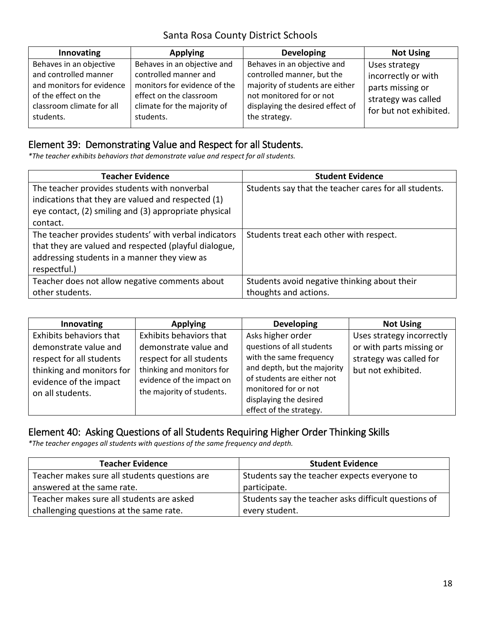| Innovating                                                                                                                                      | <b>Applying</b>                                                                                                                                             | <b>Developing</b>                                                                                                                                                             | <b>Not Using</b>                                                                                          |
|-------------------------------------------------------------------------------------------------------------------------------------------------|-------------------------------------------------------------------------------------------------------------------------------------------------------------|-------------------------------------------------------------------------------------------------------------------------------------------------------------------------------|-----------------------------------------------------------------------------------------------------------|
| Behaves in an objective<br>and controlled manner<br>and monitors for evidence<br>of the effect on the<br>classroom climate for all<br>students. | Behaves in an objective and<br>controlled manner and<br>monitors for evidence of the<br>effect on the classroom<br>climate for the majority of<br>students. | Behaves in an objective and<br>controlled manner, but the<br>majority of students are either<br>not monitored for or not<br>displaying the desired effect of<br>the strategy. | Uses strategy<br>incorrectly or with<br>parts missing or<br>strategy was called<br>for but not exhibited. |

## Element 39: Demonstrating Value and Respect for all Students.

*\*The teacher exhibits behaviors that demonstrate value and respect for all students.* 

| <b>Teacher Evidence</b>                               | <b>Student Evidence</b>                               |
|-------------------------------------------------------|-------------------------------------------------------|
| The teacher provides students with nonverbal          | Students say that the teacher cares for all students. |
| indications that they are valued and respected (1)    |                                                       |
| eye contact, (2) smiling and (3) appropriate physical |                                                       |
| contact.                                              |                                                       |
| The teacher provides students' with verbal indicators | Students treat each other with respect.               |
| that they are valued and respected (playful dialogue, |                                                       |
| addressing students in a manner they view as          |                                                       |
| respectful.)                                          |                                                       |
| Teacher does not allow negative comments about        | Students avoid negative thinking about their          |
| other students.                                       | thoughts and actions.                                 |

| Innovating                                                                                                                   | <b>Applying</b>                                                                                                                          | <b>Developing</b>                                                                                                                                                                              | <b>Not Using</b>                                                          |
|------------------------------------------------------------------------------------------------------------------------------|------------------------------------------------------------------------------------------------------------------------------------------|------------------------------------------------------------------------------------------------------------------------------------------------------------------------------------------------|---------------------------------------------------------------------------|
| Exhibits behaviors that                                                                                                      | Exhibits behaviors that                                                                                                                  | Asks higher order                                                                                                                                                                              | Uses strategy incorrectly                                                 |
| demonstrate value and<br>respect for all students<br>thinking and monitors for<br>evidence of the impact<br>on all students. | demonstrate value and<br>respect for all students<br>thinking and monitors for<br>evidence of the impact on<br>the majority of students. | questions of all students<br>with the same frequency<br>and depth, but the majority<br>of students are either not<br>monitored for or not<br>displaying the desired<br>effect of the strategy. | or with parts missing or<br>strategy was called for<br>but not exhibited. |

### Element 40: Asking Questions of all Students Requiring Higher Order Thinking Skills

*\*The teacher engages all students with questions of the same frequency and depth.* 

| <b>Teacher Evidence</b>                       | <b>Student Evidence</b>                              |
|-----------------------------------------------|------------------------------------------------------|
| Teacher makes sure all students questions are | Students say the teacher expects everyone to         |
| answered at the same rate.                    | participate.                                         |
| Teacher makes sure all students are asked     | Students say the teacher asks difficult questions of |
| challenging questions at the same rate.       | every student.                                       |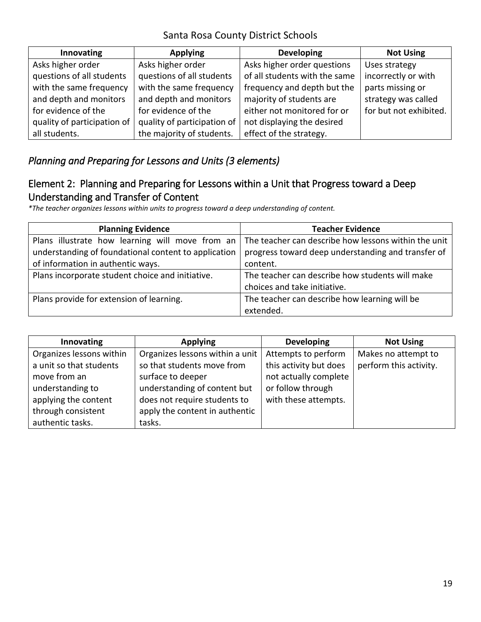| Innovating                  | <b>Applying</b>             | <b>Developing</b>             | <b>Not Using</b>       |
|-----------------------------|-----------------------------|-------------------------------|------------------------|
| Asks higher order           | Asks higher order           | Asks higher order questions   | Uses strategy          |
| questions of all students   | questions of all students   | of all students with the same | incorrectly or with    |
| with the same frequency     | with the same frequency     | frequency and depth but the   | parts missing or       |
| and depth and monitors      | and depth and monitors      | majority of students are      | strategy was called    |
| for evidence of the         | for evidence of the         | either not monitored for or   | for but not exhibited. |
| quality of participation of | quality of participation of | not displaying the desired    |                        |
| all students.               | the majority of students.   | effect of the strategy.       |                        |

### *Planning and Preparing for Lessons and Units (3 elements)*

### Element 2: Planning and Preparing for Lessons within a Unit that Progress toward a Deep Understanding and Transfer of Content

*\*The teacher organizes lessons within units to progress toward a deep understanding of content.* 

| <b>Planning Evidence</b>                             | <b>Teacher Evidence</b>                              |  |
|------------------------------------------------------|------------------------------------------------------|--|
| Plans illustrate how learning will move from an      | The teacher can describe how lessons within the unit |  |
| understanding of foundational content to application | progress toward deep understanding and transfer of   |  |
| of information in authentic ways.                    | content.                                             |  |
| Plans incorporate student choice and initiative.     | The teacher can describe how students will make      |  |
|                                                      | choices and take initiative.                         |  |
| Plans provide for extension of learning.             | The teacher can describe how learning will be        |  |
|                                                      | extended.                                            |  |

| Innovating               | <b>Applying</b>                 | <b>Developing</b>      | <b>Not Using</b>       |
|--------------------------|---------------------------------|------------------------|------------------------|
| Organizes lessons within | Organizes lessons within a unit | Attempts to perform    | Makes no attempt to    |
| a unit so that students  | so that students move from      | this activity but does | perform this activity. |
| move from an             | surface to deeper               | not actually complete  |                        |
| understanding to         | understanding of content but    | or follow through      |                        |
| applying the content     | does not require students to    | with these attempts.   |                        |
| through consistent       | apply the content in authentic  |                        |                        |
| authentic tasks.         | tasks.                          |                        |                        |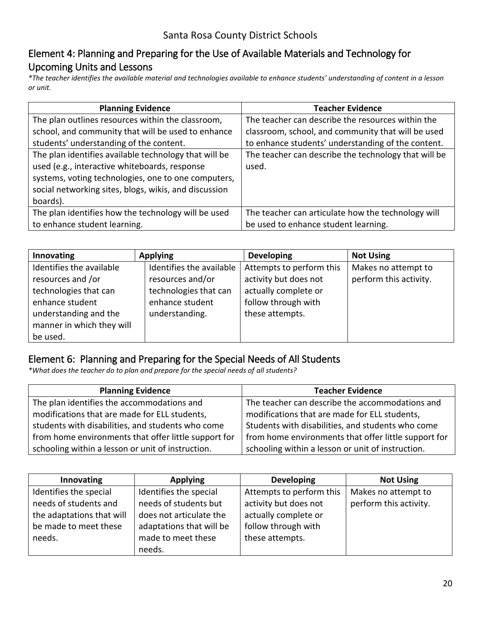### Element 4: Planning and Preparing for the Use of Available Materials and Technology for Upcoming Units and Lessons

*\*The teacher identifies the available material and technologies available to enhance students' understanding of content in a lesson or unit.* 

| <b>Planning Evidence</b>                                                                                                                                                                                                           | <b>Teacher Evidence</b>                                       |
|------------------------------------------------------------------------------------------------------------------------------------------------------------------------------------------------------------------------------------|---------------------------------------------------------------|
| The plan outlines resources within the classroom,                                                                                                                                                                                  | The teacher can describe the resources within the             |
| school, and community that will be used to enhance                                                                                                                                                                                 | classroom, school, and community that will be used            |
| students' understanding of the content.                                                                                                                                                                                            | to enhance students' understanding of the content.            |
| The plan identifies available technology that will be<br>used (e.g., interactive whiteboards, response<br>systems, voting technologies, one to one computers,<br>social networking sites, blogs, wikis, and discussion<br>boards). | The teacher can describe the technology that will be<br>used. |
| The plan identifies how the technology will be used                                                                                                                                                                                | The teacher can articulate how the technology will            |
| to enhance student learning.                                                                                                                                                                                                       | be used to enhance student learning.                          |

| Innovating                | <b>Applying</b>          | <b>Developing</b>        | <b>Not Using</b>       |
|---------------------------|--------------------------|--------------------------|------------------------|
| Identifies the available  | Identifies the available | Attempts to perform this | Makes no attempt to    |
| resources and /or         | resources and/or         | activity but does not    | perform this activity. |
| technologies that can     | technologies that can    | actually complete or     |                        |
| enhance student           | enhance student          | follow through with      |                        |
| understanding and the     | understanding.           | these attempts.          |                        |
| manner in which they will |                          |                          |                        |
| be used.                  |                          |                          |                        |

#### Element 6: Planning and Preparing for the Special Needs of All Students

*\*What does the teacher do to plan and prepare for the special needs of all students?* 

| <b>Planning Evidence</b>                             | <b>Teacher Evidence</b>                              |  |
|------------------------------------------------------|------------------------------------------------------|--|
| The plan identifies the accommodations and           | The teacher can describe the accommodations and      |  |
| modifications that are made for ELL students,        | modifications that are made for ELL students,        |  |
| students with disabilities, and students who come    | Students with disabilities, and students who come    |  |
| from home environments that offer little support for | from home environments that offer little support for |  |
| schooling within a lesson or unit of instruction.    | schooling within a lesson or unit of instruction.    |  |

| Innovating                | <b>Applying</b>          | <b>Developing</b>        | <b>Not Using</b>       |
|---------------------------|--------------------------|--------------------------|------------------------|
| Identifies the special    | Identifies the special   | Attempts to perform this | Makes no attempt to    |
| needs of students and     | needs of students but    | activity but does not    | perform this activity. |
| the adaptations that will | does not articulate the  | actually complete or     |                        |
| be made to meet these     | adaptations that will be | follow through with      |                        |
| needs.                    | made to meet these       | these attempts.          |                        |
|                           | needs.                   |                          |                        |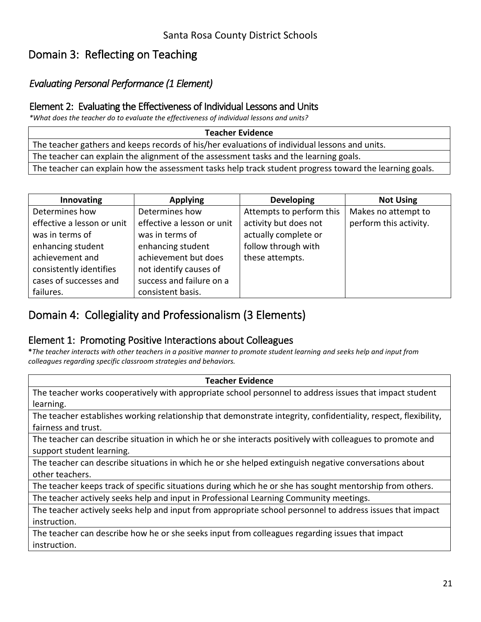## Domain 3: Reflecting on Teaching

### *Evaluating Personal Performance (1 Element)*

#### Element 2: Evaluating the Effectiveness of Individual Lessons and Units

*\*What does the teacher do to evaluate the effectiveness of individual lessons and units?*

**Teacher Evidence** 

The teacher gathers and keeps records of his/her evaluations of individual lessons and units.

The teacher can explain the alignment of the assessment tasks and the learning goals.

The teacher can explain how the assessment tasks help track student progress toward the learning goals.

| Innovating                 | <b>Applying</b>            | <b>Developing</b>        | <b>Not Using</b>       |
|----------------------------|----------------------------|--------------------------|------------------------|
| Determines how             | Determines how             | Attempts to perform this | Makes no attempt to    |
| effective a lesson or unit | effective a lesson or unit | activity but does not    | perform this activity. |
| was in terms of            | was in terms of            | actually complete or     |                        |
| enhancing student          | enhancing student          | follow through with      |                        |
| achievement and            | achievement but does       | these attempts.          |                        |
| consistently identifies    | not identify causes of     |                          |                        |
| cases of successes and     | success and failure on a   |                          |                        |
| failures.                  | consistent basis.          |                          |                        |

## Domain 4: Collegiality and Professionalism (3 Elements)

#### Element 1: Promoting Positive Interactions about Colleagues

**\****The teacher interacts with other teachers in a positive manner to promote student learning and seeks help and input from colleagues regarding specific classroom strategies and behaviors.*

| <b>Teacher Evidence</b>                                                                                         |  |  |  |
|-----------------------------------------------------------------------------------------------------------------|--|--|--|
| The teacher works cooperatively with appropriate school personnel to address issues that impact student         |  |  |  |
| learning.                                                                                                       |  |  |  |
| The teacher establishes working relationship that demonstrate integrity, confidentiality, respect, flexibility, |  |  |  |
| fairness and trust.                                                                                             |  |  |  |
| The teacher can describe situation in which he or she interacts positively with colleagues to promote and       |  |  |  |
| support student learning.                                                                                       |  |  |  |
| The teacher can describe situations in which he or she helped extinguish negative conversations about           |  |  |  |
| other teachers.                                                                                                 |  |  |  |
| The teacher keeps track of specific situations during which he or she has sought mentorship from others.        |  |  |  |
| The teacher actively seeks help and input in Professional Learning Community meetings.                          |  |  |  |
| The teacher actively seeks help and input from appropriate school personnel to address issues that impact       |  |  |  |
| instruction.                                                                                                    |  |  |  |

 The teacher can describe how he or she seeks input from colleagues regarding issues that impact instruction.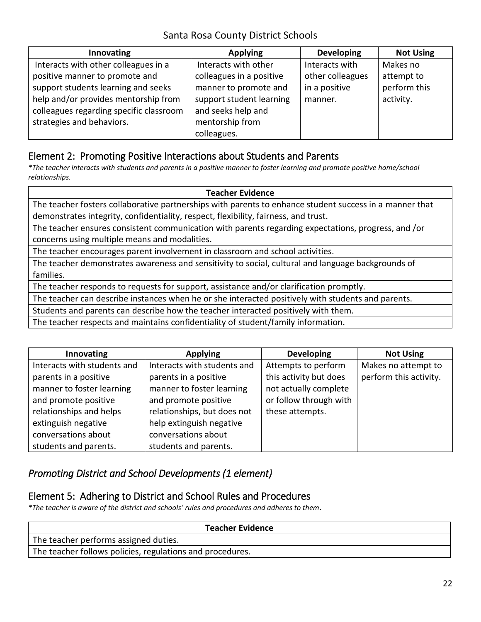| Innovating                                                                      | <b>Applying</b>                                  | <b>Developing</b>                  | <b>Not Using</b>       |
|---------------------------------------------------------------------------------|--------------------------------------------------|------------------------------------|------------------------|
| Interacts with other colleagues in a<br>positive manner to promote and          | Interacts with other<br>colleagues in a positive | Interacts with<br>other colleagues | Makes no<br>attempt to |
| support students learning and seeks                                             | manner to promote and                            | in a positive                      | perform this           |
| help and/or provides mentorship from<br>colleagues regarding specific classroom | support student learning<br>and seeks help and   | manner.                            | activity.              |
| strategies and behaviors.                                                       | mentorship from                                  |                                    |                        |
|                                                                                 | colleagues.                                      |                                    |                        |

#### Element 2: Promoting Positive Interactions about Students and Parents

*\*The teacher interacts with students and parents in a positive manner to foster learning and promote positive home/school relationships.* 

#### **Teacher Evidence**

 The teacher fosters collaborative partnerships with parents to enhance student success in a manner that demonstrates integrity, confidentiality, respect, flexibility, fairness, and trust.

 The teacher ensures consistent communication with parents regarding expectations, progress, and /or concerns using multiple means and modalities.

The teacher encourages parent involvement in classroom and school activities.

The teacher demonstrates awareness and sensitivity to social, cultural and language backgrounds of families.

The teacher responds to requests for support, assistance and/or clarification promptly.

The teacher can describe instances when he or she interacted positively with students and parents.

Students and parents can describe how the teacher interacted positively with them.

The teacher respects and maintains confidentiality of student/family information.

| Innovating                  | <b>Applying</b>             | <b>Developing</b>      | <b>Not Using</b>       |
|-----------------------------|-----------------------------|------------------------|------------------------|
| Interacts with students and | Interacts with students and | Attempts to perform    | Makes no attempt to    |
| parents in a positive       | parents in a positive       | this activity but does | perform this activity. |
| manner to foster learning   | manner to foster learning   | not actually complete  |                        |
| and promote positive        | and promote positive        | or follow through with |                        |
| relationships and helps     | relationships, but does not | these attempts.        |                        |
| extinguish negative         | help extinguish negative    |                        |                        |
| conversations about         | conversations about         |                        |                        |
| students and parents.       | students and parents.       |                        |                        |

### *Promoting District and School Developments (1 element)*

#### Element 5: Adhering to District and School Rules and Procedures

*\*The teacher is aware of the district and schools' rules and procedures and adheres to them***.** 

| <b>Teacher Evidence</b>                                   |
|-----------------------------------------------------------|
| The teacher performs assigned duties.                     |
| The teacher follows policies, regulations and procedures. |